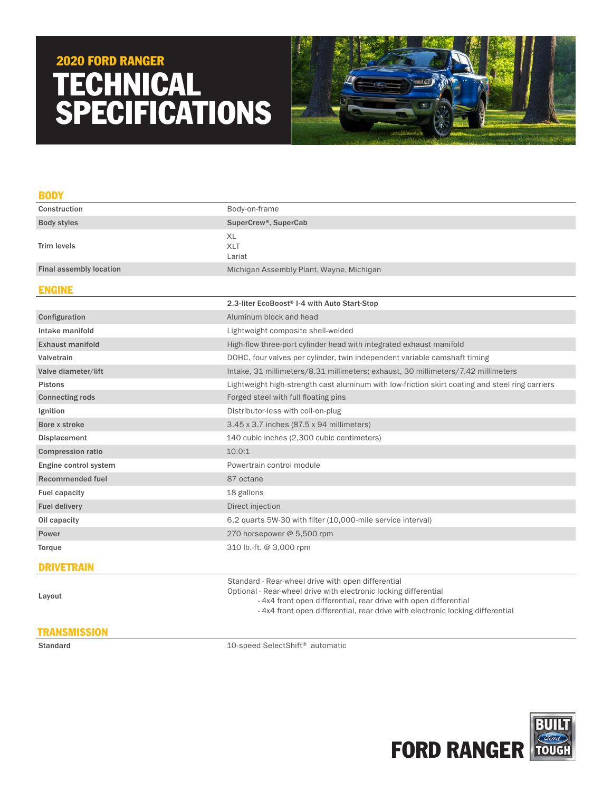# TECHNICAL SPECIFICATIONS 2020 FORD RANGER



| <b>BODY</b>                    |                                                                                                                                                                                                                                                                             |  |
|--------------------------------|-----------------------------------------------------------------------------------------------------------------------------------------------------------------------------------------------------------------------------------------------------------------------------|--|
| Construction                   | Body-on-frame                                                                                                                                                                                                                                                               |  |
| <b>Body styles</b>             | SuperCrew®, SuperCab                                                                                                                                                                                                                                                        |  |
| <b>Trim levels</b>             | XL<br><b>XLT</b><br>Lariat                                                                                                                                                                                                                                                  |  |
| <b>Final assembly location</b> | Michigan Assembly Plant, Wayne, Michigan                                                                                                                                                                                                                                    |  |
| <b>ENGINE</b>                  |                                                                                                                                                                                                                                                                             |  |
|                                | 2.3-liter EcoBoost® I-4 with Auto Start-Stop                                                                                                                                                                                                                                |  |
| Configuration                  | Aluminum block and head                                                                                                                                                                                                                                                     |  |
| Intake manifold                | Lightweight composite shell-welded                                                                                                                                                                                                                                          |  |
| <b>Exhaust manifold</b>        | High-flow three-port cylinder head with integrated exhaust manifold                                                                                                                                                                                                         |  |
| Valvetrain                     | DOHC, four valves per cylinder, twin independent variable camshaft timing                                                                                                                                                                                                   |  |
| Valve diameter/lift            | Intake, 31 millimeters/8.31 millimeters; exhaust, 30 millimeters/7.42 millimeters                                                                                                                                                                                           |  |
| <b>Pistons</b>                 | Lightweight high-strength cast aluminum with low-friction skirt coating and steel ring carriers                                                                                                                                                                             |  |
| <b>Connecting rods</b>         | Forged steel with full floating pins                                                                                                                                                                                                                                        |  |
| Ignition                       | Distributor-less with coil-on-plug                                                                                                                                                                                                                                          |  |
| Bore x stroke                  | 3.45 x 3.7 inches (87.5 x 94 millimeters)                                                                                                                                                                                                                                   |  |
| Displacement                   | 140 cubic inches (2,300 cubic centimeters)                                                                                                                                                                                                                                  |  |
| <b>Compression ratio</b>       | 10.0:1                                                                                                                                                                                                                                                                      |  |
| Engine control system          | Powertrain control module                                                                                                                                                                                                                                                   |  |
| <b>Recommended fuel</b>        | 87 octane                                                                                                                                                                                                                                                                   |  |
| <b>Fuel capacity</b>           | 18 gallons                                                                                                                                                                                                                                                                  |  |
| <b>Fuel delivery</b>           | Direct injection                                                                                                                                                                                                                                                            |  |
| Oil capacity                   | 6.2 quarts 5W-30 with filter (10,000-mile service interval)                                                                                                                                                                                                                 |  |
| Power                          | 270 horsepower @ 5,500 rpm                                                                                                                                                                                                                                                  |  |
| Torque                         | 310 lb.-ft. @ 3,000 rpm                                                                                                                                                                                                                                                     |  |
| <b>DRIVETRAIN</b>              |                                                                                                                                                                                                                                                                             |  |
| Layout                         | Standard - Rear-wheel drive with open differential<br>Optional - Rear-wheel drive with electronic locking differential<br>- 4x4 front open differential, rear drive with open differential<br>-4x4 front open differential, rear drive with electronic locking differential |  |

## **TRANSMISSION**

Standard 10-speed SelectShift® automatic

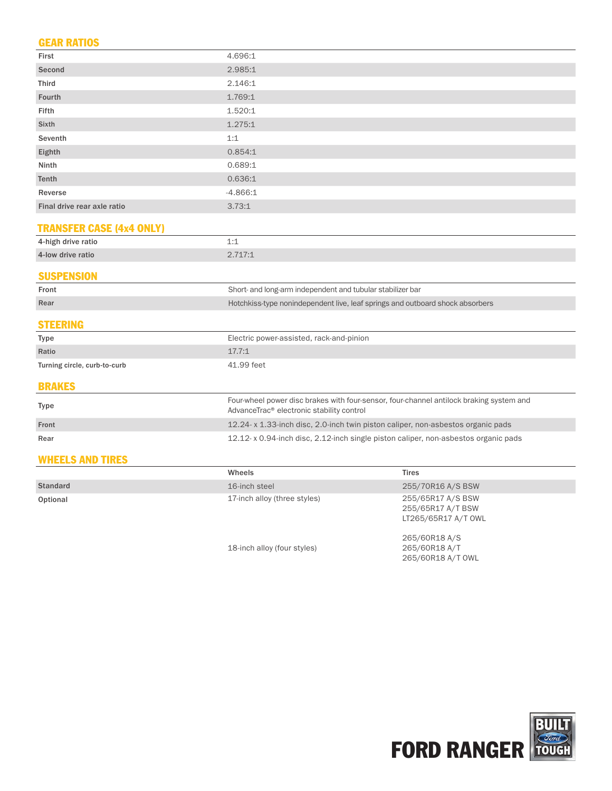## GEAR RATIOS

| First                           | 4.696:1                                                                                                                              |  |  |
|---------------------------------|--------------------------------------------------------------------------------------------------------------------------------------|--|--|
| Second                          | 2.985:1                                                                                                                              |  |  |
| <b>Third</b>                    | 2.146:1                                                                                                                              |  |  |
| Fourth                          | 1.769:1                                                                                                                              |  |  |
| Fifth                           | 1.520:1                                                                                                                              |  |  |
| Sixth                           | 1.275:1                                                                                                                              |  |  |
| Seventh                         | 1:1                                                                                                                                  |  |  |
| Eighth                          | 0.854:1                                                                                                                              |  |  |
| Ninth                           | 0.689:1                                                                                                                              |  |  |
| Tenth                           | 0.636:1                                                                                                                              |  |  |
| Reverse                         | $-4.866:1$                                                                                                                           |  |  |
| Final drive rear axle ratio     | 3.73:1                                                                                                                               |  |  |
| <b>TRANSFER CASE (4x4 ONLY)</b> |                                                                                                                                      |  |  |
| 4-high drive ratio              | 1:1                                                                                                                                  |  |  |
| 4-low drive ratio               | 2.717:1                                                                                                                              |  |  |
| <b>SUSPENSION</b>               |                                                                                                                                      |  |  |
| Front                           | Short- and long-arm independent and tubular stabilizer bar                                                                           |  |  |
| Rear                            | Hotchkiss-type nonindependent live, leaf springs and outboard shock absorbers                                                        |  |  |
| <b>STEERING</b>                 |                                                                                                                                      |  |  |
| <b>Type</b>                     | Electric power-assisted, rack-and-pinion                                                                                             |  |  |
| Ratio                           | 17.7:1                                                                                                                               |  |  |
| Turning circle, curb-to-curb    | 41.99 feet                                                                                                                           |  |  |
| <b>BRAKES</b>                   |                                                                                                                                      |  |  |
| Type                            | Four-wheel power disc brakes with four-sensor, four-channel antilock braking system and<br>AdvanceTrac® electronic stability control |  |  |
| Front                           | 12.24-x 1.33-inch disc, 2.0-inch twin piston caliper, non-asbestos organic pads                                                      |  |  |
| Rear                            | 12.12- x 0.94-inch disc, 2.12-inch single piston caliper, non-asbestos organic pads                                                  |  |  |
| <b>WHEELS AND TIRES</b>         |                                                                                                                                      |  |  |
|                                 | $T^*$ is a set<br>$NA/IA = A/I$                                                                                                      |  |  |

|                 | Wheels                       | <b>Tires</b>                                                  |
|-----------------|------------------------------|---------------------------------------------------------------|
| <b>Standard</b> | 16-inch steel                | 255/70R16 A/S BSW                                             |
| Optional        | 17-inch alloy (three styles) | 255/65R17 A/S BSW<br>255/65R17 A/T BSW<br>LT265/65R17 A/T OWL |
|                 | 18-inch alloy (four styles)  | 265/60R18 A/S<br>265/60R18 A/T                                |



265/60R18 A/T OWL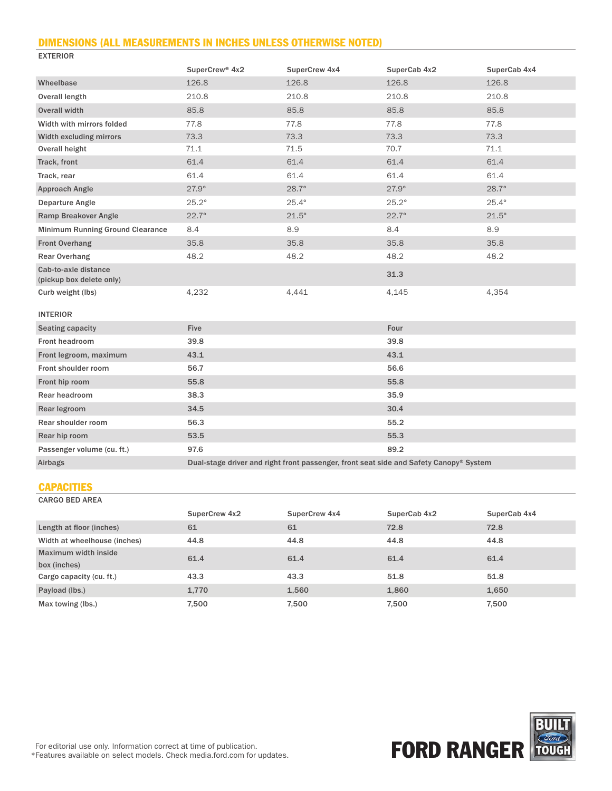#### DIMENSIONS (ALL MEASUREMENTS IN INCHES UNLESS OTHERWISE NOTED)

| <b>EXIERIOR</b>                                  |                            |               |                                                                                        |              |
|--------------------------------------------------|----------------------------|---------------|----------------------------------------------------------------------------------------|--------------|
|                                                  | SuperCrew <sup>®</sup> 4x2 | SuperCrew 4x4 | SuperCab 4x2                                                                           | SuperCab 4x4 |
| Wheelbase                                        | 126.8                      | 126.8         | 126.8                                                                                  | 126.8        |
| <b>Overall length</b>                            | 210.8                      | 210.8         | 210.8                                                                                  | 210.8        |
| Overall width                                    | 85.8                       | 85.8          | 85.8                                                                                   | 85.8         |
| Width with mirrors folded                        | 77.8                       | 77.8          | 77.8                                                                                   | 77.8         |
| Width excluding mirrors                          | 73.3                       | 73.3          | 73.3                                                                                   | 73.3         |
| Overall height                                   | 71.1                       | 71.5          | 70.7                                                                                   | 71.1         |
| Track, front                                     | 61.4                       | 61.4          | 61.4                                                                                   | 61.4         |
| Track, rear                                      | 61.4                       | 61.4          | 61.4                                                                                   | 61.4         |
| Approach Angle                                   | $27.9^\circ$               | $28.7^\circ$  | $27.9^\circ$                                                                           | $28.7^\circ$ |
| <b>Departure Angle</b>                           | $25.2^\circ$               | $25.4^\circ$  | $25.2^\circ$                                                                           | $25.4^\circ$ |
| <b>Ramp Breakover Angle</b>                      | $22.7^\circ$               | $21.5^\circ$  | $22.7^\circ$                                                                           | $21.5^\circ$ |
| <b>Minimum Running Ground Clearance</b>          | 8.4                        | 8.9           | 8.4                                                                                    | 8.9          |
| <b>Front Overhang</b>                            | 35.8                       | 35.8          | 35.8                                                                                   | 35.8         |
| <b>Rear Overhang</b>                             | 48.2                       | 48.2          | 48.2                                                                                   | 48.2         |
| Cab-to-axle distance<br>(pickup box delete only) |                            |               | 31.3                                                                                   |              |
| Curb weight (lbs)                                | 4,232                      | 4,441         | 4,145                                                                                  | 4,354        |
| <b>INTERIOR</b>                                  |                            |               |                                                                                        |              |
| Seating capacity                                 | <b>Five</b>                |               | Four                                                                                   |              |
| <b>Front headroom</b>                            | 39.8                       |               | 39.8                                                                                   |              |
| Front legroom, maximum                           | 43.1                       |               | 43.1                                                                                   |              |
| Front shoulder room                              | 56.7                       |               | 56.6                                                                                   |              |
| Front hip room                                   | 55.8                       |               | 55.8                                                                                   |              |
| Rear headroom                                    | 38.3                       |               | 35.9                                                                                   |              |
| Rear legroom                                     | 34.5                       |               | 30.4                                                                                   |              |
| Rear shoulder room                               | 56.3                       |               | 55.2                                                                                   |              |
| Rear hip room                                    | 53.5                       |               | 55.3                                                                                   |              |
| Passenger volume (cu. ft.)                       | 97.6                       |               | 89.2                                                                                   |              |
| Airbags                                          |                            |               | Dual-stage driver and right front passenger, front seat side and Safety Canopy® System |              |

#### **CAPACITIES**

 $F_{\text{E}}$ 

CARGO BED AREA

|                              | SuperCrew 4x2 | SuperCrew 4x4 | SuperCab 4x2 | SuperCab 4x4 |
|------------------------------|---------------|---------------|--------------|--------------|
| Length at floor (inches)     | 61            | 61            | 72.8         | 72.8         |
| Width at wheelhouse (inches) | 44.8          | 44.8          | 44.8         | 44.8         |
| Maximum width inside         | 61.4          | 61.4          | 61.4         | 61.4         |
| box (inches)                 |               |               |              |              |
| Cargo capacity (cu. ft.)     | 43.3          | 43.3          | 51.8         | 51.8         |
| Payload (lbs.)               | 1,770         | 1,560         | 1,860        | 1,650        |
| Max towing (lbs.)            | 7,500         | 7.500         | 7.500        | 7,500        |